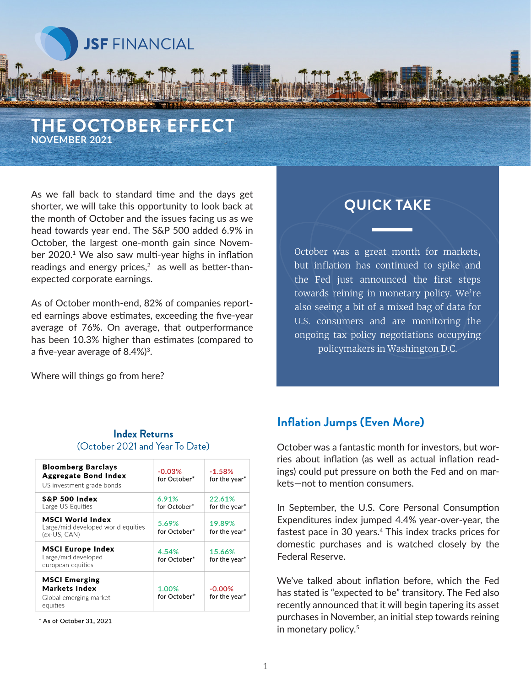

# **THE OCTOBER EFFECT NOVEMBER 2021**

As we fall back to standard time and the days get shorter, we will take this opportunity to look back at the month of October and the issues facing us as we head towards year end. The S&P 500 added 6.9% in October, the largest one-month gain since November 2020.<sup>1</sup> We also saw multi-year highs in inflation readings and energy prices, $2$  as well as better-thanexpected corporate earnings.

As of October month-end, 82% of companies reported earnings above estimates, exceeding the five-year average of 76%. On average, that outperformance has been 10.3% higher than estimates (compared to a five-year average of 8.4%)3.

# **QUICK TAKE**

October was a great month for markets, but inflation has continued to spike and the Fed just announced the first steps towards reining in monetary policy. We're also seeing a bit of a mixed bag of data for U.S. consumers and are monitoring the ongoing tax policy negotiations occupying policymakers in Washington D.C.

Where will things go from here?

#### **Index Returns** (October 2021 and Year To Date)

| <b>Bloomberg Barclays</b><br><b>Aggregate Bond Index</b><br>US investment grade bonds | $-0.03%$<br>for October* | $-1.58%$<br>for the year <sup>*</sup> |
|---------------------------------------------------------------------------------------|--------------------------|---------------------------------------|
| <b>S&amp;P 500 Index</b><br>Large US Equities                                         | 6.91%<br>for October*    | 22.61%<br>for the year*               |
| <b>MSCI World Index</b><br>Large/mid developed world equities<br>(ex-US, CAN)         | 5.69%<br>for October*    | 19.89%<br>for the year*               |
| <b>MSCI Europe Index</b><br>Large/mid developed<br>european equities                  | 4.54%<br>for October*    | 15.66%<br>for the year*               |
| <b>MSCI Emerging</b><br><b>Markets Index</b><br>Global emerging market<br>equities    | 1.00%<br>for October*    | $-0.00%$<br>for the year*             |

\* As of October 31, 2021

## **Inflation Jumps (Even More)**

October was a fantastic month for investors, but worries about inflation (as well as actual inflation readings) could put pressure on both the Fed and on markets—not to mention consumers.

In September, the U.S. Core Personal Consumption Expenditures index jumped 4.4% year-over-year, the fastest pace in 30 years.<sup>4</sup> This index tracks prices for domestic purchases and is watched closely by the Federal Reserve.

We've talked about inflation before, which the Fed has stated is "expected to be" transitory. The Fed also recently announced that it will begin tapering its asset purchases in November, an initial step towards reining in monetary policy.<sup>5</sup>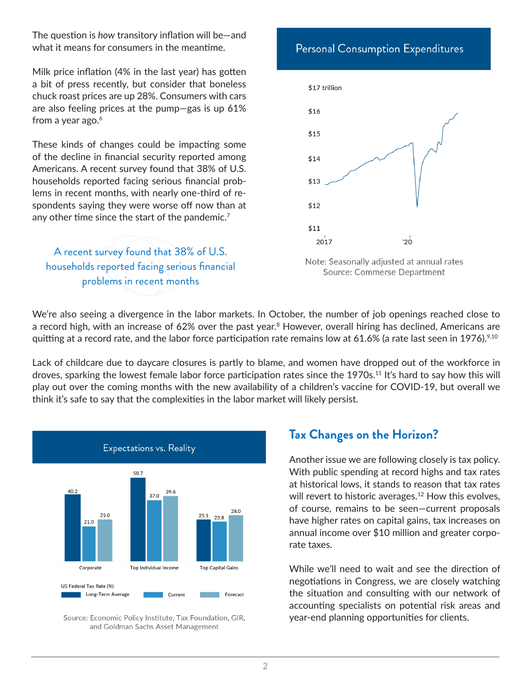The question is *how* transitory inflation will be—and what it means for consumers in the meantime.

Milk price inflation (4% in the last year) has gotten a bit of press recently, but consider that boneless chuck roast prices are up 28%. Consumers with cars are also feeling prices at the pump—gas is up 61% from a year ago. $6$ 

These kinds of changes could be impacting some of the decline in financial security reported among Americans. A recent survey found that 38% of U.S. households reported facing serious financial problems in recent months, with nearly one-third of respondents saying they were worse off now than at any other time since the start of the pandemic.<sup>7</sup>

A recent survey found that 38% of U.S. households reported facing serious financial problems in recent months





We're also seeing a divergence in the labor markets. In October, the number of job openings reached close to a record high, with an increase of 62% over the past year.<sup>8</sup> However, overall hiring has declined, Americans are quitting at a record rate, and the labor force participation rate remains low at 61.6% (a rate last seen in 1976).<sup>9,10</sup>

Lack of childcare due to daycare closures is partly to blame, and women have dropped out of the workforce in droves, sparking the lowest female labor force participation rates since the 1970s.11 It's hard to say how this will play out over the coming months with the new availability of a children's vaccine for COVID-19, but overall we think it's safe to say that the complexities in the labor market will likely persist.



Source: Economic Policy Institute, Tax Foundation, GIR, and Goldman Sachs Asset Management

## **Tax Changes on the Horizon?**

Another issue we are following closely is tax policy. With public spending at record highs and tax rates at historical lows, it stands to reason that tax rates will revert to historic averages.<sup>12</sup> How this evolves, of course, remains to be seen—current proposals have higher rates on capital gains, tax increases on annual income over \$10 million and greater corporate taxes.

While we'll need to wait and see the direction of negotiations in Congress, we are closely watching the situation and consulting with our network of accounting specialists on potential risk areas and year-end planning opportunities for clients.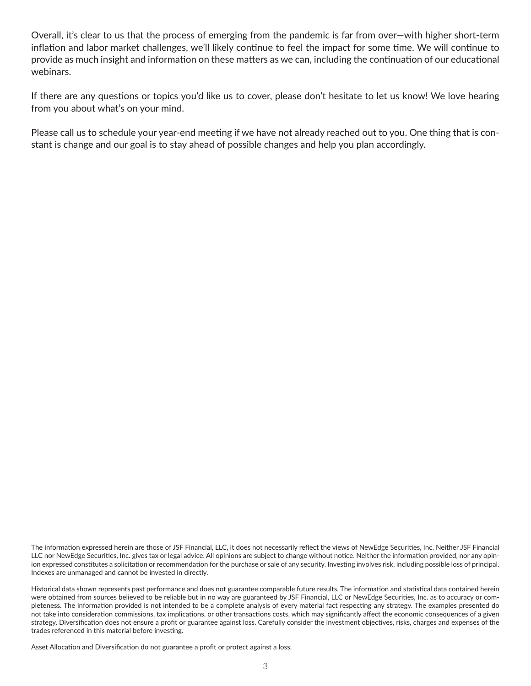Overall, it's clear to us that the process of emerging from the pandemic is far from over—with higher short-term inflation and labor market challenges, we'll likely continue to feel the impact for some time. We will continue to provide as much insight and information on these matters as we can, including the continuation of our educational webinars.

If there are any questions or topics you'd like us to cover, please don't hesitate to let us know! We love hearing from you about what's on your mind.

Please call us to schedule your year-end meeting if we have not already reached out to you. One thing that is constant is change and our goal is to stay ahead of possible changes and help you plan accordingly.

The information expressed herein are those of JSF Financial, LLC, it does not necessarily reflect the views of NewEdge Securities, Inc. Neither JSF Financial LLC nor NewEdge Securities, Inc. gives tax or legal advice. All opinions are subject to change without notice. Neither the information provided, nor any opinion expressed constitutes a solicitation or recommendation for the purchase or sale of any security. Investing involves risk, including possible loss of principal. Indexes are unmanaged and cannot be invested in directly.

Historical data shown represents past performance and does not guarantee comparable future results. The information and statistical data contained herein were obtained from sources believed to be reliable but in no way are guaranteed by JSF Financial, LLC or NewEdge Securities, Inc. as to accuracy or completeness. The information provided is not intended to be a complete analysis of every material fact respecting any strategy. The examples presented do not take into consideration commissions, tax implications, or other transactions costs, which may significantly affect the economic consequences of a given strategy. Diversification does not ensure a profit or guarantee against loss. Carefully consider the investment objectives, risks, charges and expenses of the trades referenced in this material before investing.

Asset Allocation and Diversification do not guarantee a profit or protect against a loss.